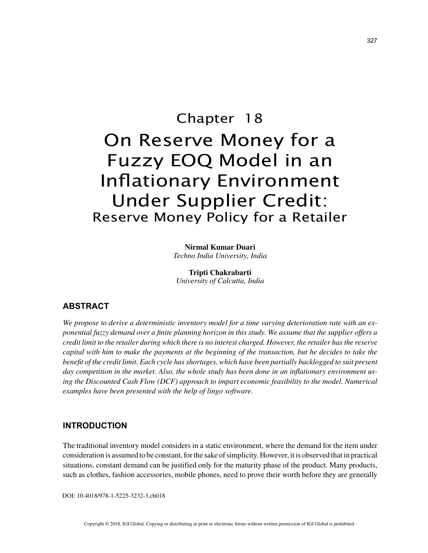# Chapter 18 On Reserve Money for a Fuzzy EOQ Model in an Inflationary Environment Under Supplier Credit: Reserve Money Policy for a Retailer

**Nirmal Kumar Duari** *Techno India University, India*

**Tripti Chakrabarti** *University of Calcutta, India*

# **ABSTRACT**

*We propose to derive a deterministic inventory model for a time varying deterioration rate with an exponential fuzzy demand over a finite planning horizon in this study. We assume that the supplier offers a credit limit to the retailer during which there is no interest charged. However, the retailer has the reserve capital with him to make the payments at the beginning of the transaction, but he decides to take the benefit of the credit limit. Each cycle has shortages, which have been partially backlogged to suit present day competition in the market. Also, the whole study has been done in an inflationary environment using the Discounted Cash Flow (DCF) approach to impart economic feasibility to the model. Numerical examples have been presented with the help of lingo software.*

# **INTRODUCTION**

The traditional inventory model considers in a static environment, where the demand for the item under consideration is assumed to be constant, for the sake of simplicity. However, it is observed that in practical situations, constant demand can be justified only for the maturity phase of the product. Many products, such as clothes, fashion accessories, mobile phones, need to prove their worth before they are generally

DOI: 10.4018/978-1-5225-3232-3.ch018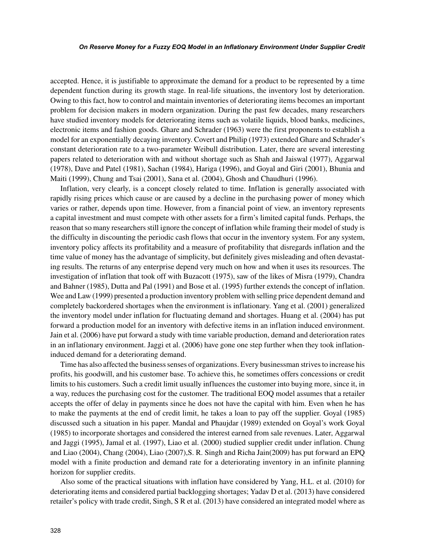#### *On Reserve Money for a Fuzzy EOQ Model in an Inflationary Environment Under Supplier Credit*

accepted. Hence, it is justifiable to approximate the demand for a product to be represented by a time dependent function during its growth stage. In real-life situations, the inventory lost by deterioration. Owing to this fact, how to control and maintain inventories of deteriorating items becomes an important problem for decision makers in modern organization. During the past few decades, many researchers have studied inventory models for deteriorating items such as volatile liquids, blood banks, medicines, electronic items and fashion goods. Ghare and Schrader (1963) were the first proponents to establish a model for an exponentially decaying inventory. Covert and Philip (1973) extended Ghare and Schrader's constant deterioration rate to a two-parameter Weibull distribution. Later, there are several interesting papers related to deterioration with and without shortage such as Shah and Jaiswal (1977), Aggarwal (1978), Dave and Patel (1981), Sachan (1984), Hariga (1996), and Goyal and Giri (2001), Bhunia and Maiti (1999), Chung and Tsai (2001), Sana et al. (2004), Ghosh and Chaudhuri (1996).

Inflation, very clearly, is a concept closely related to time. Inflation is generally associated with rapidly rising prices which cause or are caused by a decline in the purchasing power of money which varies or rather, depends upon time. However, from a financial point of view, an inventory represents a capital investment and must compete with other assets for a firm's limited capital funds. Perhaps, the reason that so many researchers still ignore the concept of inflation while framing their model of study is the difficulty in discounting the periodic cash flows that occur in the inventory system. For any system, inventory policy affects its profitability and a measure of profitability that disregards inflation and the time value of money has the advantage of simplicity, but definitely gives misleading and often devastating results. The returns of any enterprise depend very much on how and when it uses its resources. The investigation of inflation that took off with Buzacott (1975), saw of the likes of Misra (1979), Chandra and Bahner (1985), Dutta and Pal (1991) and Bose et al. (1995) further extends the concept of inflation. Wee and Law (1999) presented a production inventory problem with selling price dependent demand and completely backordered shortages when the environment is inflationary. Yang et al. (2001) generalized the inventory model under inflation for fluctuating demand and shortages. Huang et al. (2004) has put forward a production model for an inventory with defective items in an inflation induced environment. Jain et al. (2006) have put forward a study with time variable production, demand and deterioration rates in an inflationary environment. Jaggi et al. (2006) have gone one step further when they took inflationinduced demand for a deteriorating demand.

Time has also affected the business senses of organizations. Every businessman strives to increase his profits, his goodwill, and his customer base. To achieve this, he sometimes offers concessions or credit limits to his customers. Such a credit limit usually influences the customer into buying more, since it, in a way, reduces the purchasing cost for the customer. The traditional EOQ model assumes that a retailer accepts the offer of delay in payments since he does not have the capital with him. Even when he has to make the payments at the end of credit limit, he takes a loan to pay off the supplier. Goyal (1985) discussed such a situation in his paper. Mandal and Phaujdar (1989) extended on Goyal's work Goyal (1985) to incorporate shortages and considered the interest earned from sale revenues. Later, Aggarwal and Jaggi (1995), Jamal et al. (1997), Liao et al. (2000) studied supplier credit under inflation. Chung and Liao (2004), Chang (2004), Liao (2007),S. R. Singh and Richa Jain(2009) has put forward an EPQ model with a finite production and demand rate for a deteriorating inventory in an infinite planning horizon for supplier credits.

Also some of the practical situations with inflation have considered by Yang, H.L. et al. (2010) for deteriorating items and considered partial backlogging shortages; Yadav D et al. (2013) have considered retailer's policy with trade credit, Singh, S R et al. (2013) have considered an integrated model where as